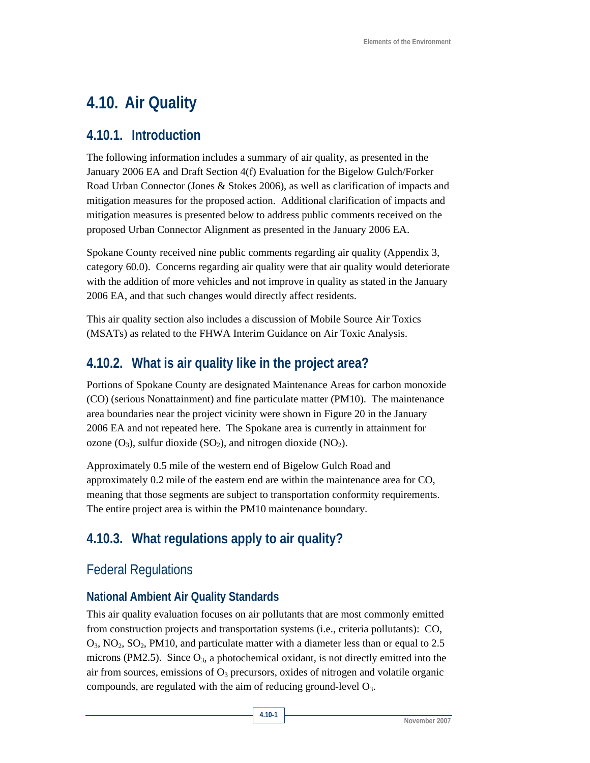# **4.10. Air Quality**

### **4.10.1. Introduction**

The following information includes a summary of air quality, as presented in the January 2006 EA and Draft Section 4(f) Evaluation for the Bigelow Gulch/Forker Road Urban Connector (Jones & Stokes 2006), as well as clarification of impacts and mitigation measures for the proposed action. Additional clarification of impacts and mitigation measures is presented below to address public comments received on the proposed Urban Connector Alignment as presented in the January 2006 EA.

Spokane County received nine public comments regarding air quality (Appendix 3, category 60.0). Concerns regarding air quality were that air quality would deteriorate with the addition of more vehicles and not improve in quality as stated in the January 2006 EA, and that such changes would directly affect residents.

This air quality section also includes a discussion of Mobile Source Air Toxics (MSATs) as related to the FHWA Interim Guidance on Air Toxic Analysis.

## **4.10.2. What is air quality like in the project area?**

Portions of Spokane County are designated Maintenance Areas for carbon monoxide (CO) (serious Nonattainment) and fine particulate matter (PM10). The maintenance area boundaries near the project vicinity were shown in Figure 20 in the January 2006 EA and not repeated here. The Spokane area is currently in attainment for ozone  $(O_3)$ , sulfur dioxide  $(SO_2)$ , and nitrogen dioxide  $(NO_2)$ .

Approximately 0.5 mile of the western end of Bigelow Gulch Road and approximately 0.2 mile of the eastern end are within the maintenance area for CO, meaning that those segments are subject to transportation conformity requirements. The entire project area is within the PM10 maintenance boundary.

## **4.10.3. What regulations apply to air quality?**

## Federal Regulations

### **National Ambient Air Quality Standards**

This air quality evaluation focuses on air pollutants that are most commonly emitted from construction projects and transportation systems (i.e., criteria pollutants): CO,  $O_3$ ,  $NO_2$ ,  $SO_2$ ,  $PM10$ , and particulate matter with a diameter less than or equal to 2.5 microns (PM2.5). Since  $O_3$ , a photochemical oxidant, is not directly emitted into the air from sources, emissions of  $O<sub>3</sub>$  precursors, oxides of nitrogen and volatile organic compounds, are regulated with the aim of reducing ground-level  $O_3$ .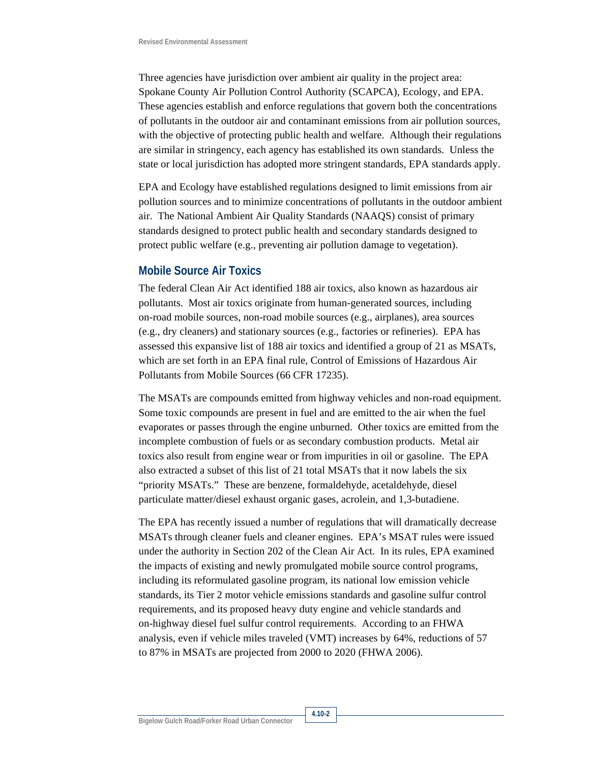Three agencies have jurisdiction over ambient air quality in the project area: Spokane County Air Pollution Control Authority (SCAPCA), Ecology, and EPA. These agencies establish and enforce regulations that govern both the concentrations of pollutants in the outdoor air and contaminant emissions from air pollution sources, with the objective of protecting public health and welfare. Although their regulations are similar in stringency, each agency has established its own standards. Unless the state or local jurisdiction has adopted more stringent standards, EPA standards apply.

EPA and Ecology have established regulations designed to limit emissions from air pollution sources and to minimize concentrations of pollutants in the outdoor ambient air. The National Ambient Air Quality Standards (NAAQS) consist of primary standards designed to protect public health and secondary standards designed to protect public welfare (e.g., preventing air pollution damage to vegetation).

#### **Mobile Source Air Toxics**

The federal Clean Air Act identified 188 air toxics, also known as hazardous air pollutants. Most air toxics originate from human-generated sources, including on-road mobile sources, non-road mobile sources (e.g., airplanes), area sources (e.g., dry cleaners) and stationary sources (e.g., factories or refineries). EPA has assessed this expansive list of 188 air toxics and identified a group of 21 as MSATs, which are set forth in an EPA final rule, Control of Emissions of Hazardous Air Pollutants from Mobile Sources (66 CFR 17235).

The MSATs are compounds emitted from highway vehicles and non-road equipment. Some toxic compounds are present in fuel and are emitted to the air when the fuel evaporates or passes through the engine unburned. Other toxics are emitted from the incomplete combustion of fuels or as secondary combustion products. Metal air toxics also result from engine wear or from impurities in oil or gasoline. The EPA also extracted a subset of this list of 21 total MSATs that it now labels the six "priority MSATs." These are benzene, formaldehyde, acetaldehyde, diesel particulate matter/diesel exhaust organic gases, acrolein, and 1,3-butadiene.

The EPA has recently issued a number of regulations that will dramatically decrease MSATs through cleaner fuels and cleaner engines. EPA's MSAT rules were issued under the authority in Section 202 of the Clean Air Act. In its rules, EPA examined the impacts of existing and newly promulgated mobile source control programs, including its reformulated gasoline program, its national low emission vehicle standards, its Tier 2 motor vehicle emissions standards and gasoline sulfur control requirements, and its proposed heavy duty engine and vehicle standards and on-highway diesel fuel sulfur control requirements. According to an FHWA analysis, even if vehicle miles traveled (VMT) increases by 64%, reductions of 57 to 87% in MSATs are projected from 2000 to 2020 (FHWA 2006).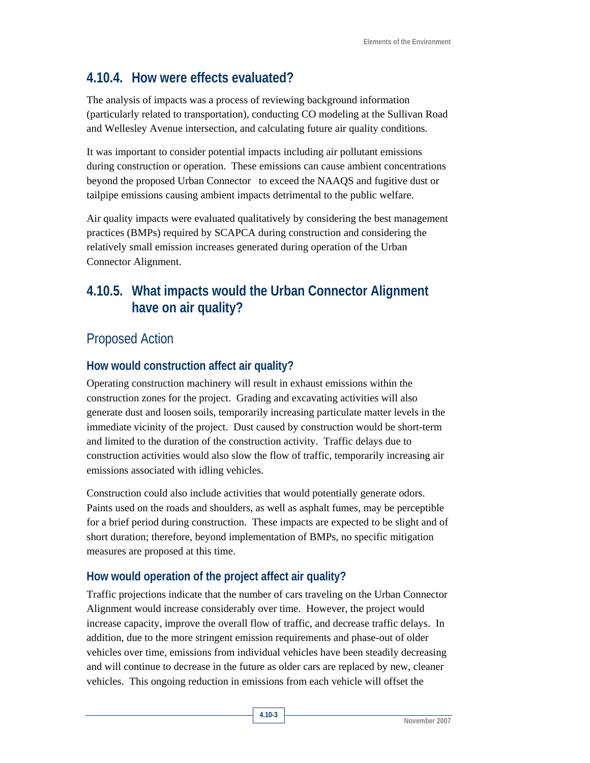## **4.10.4. How were effects evaluated?**

The analysis of impacts was a process of reviewing background information (particularly related to transportation), conducting CO modeling at the Sullivan Road and Wellesley Avenue intersection, and calculating future air quality conditions.

It was important to consider potential impacts including air pollutant emissions during construction or operation. These emissions can cause ambient concentrations beyond the proposed Urban Connector to exceed the NAAQS and fugitive dust or tailpipe emissions causing ambient impacts detrimental to the public welfare.

Air quality impacts were evaluated qualitatively by considering the best management practices (BMPs) required by SCAPCA during construction and considering the relatively small emission increases generated during operation of the Urban Connector Alignment.

## **4.10.5. What impacts would the Urban Connector Alignment have on air quality?**

## Proposed Action

### **How would construction affect air quality?**

Operating construction machinery will result in exhaust emissions within the construction zones for the project. Grading and excavating activities will also generate dust and loosen soils, temporarily increasing particulate matter levels in the immediate vicinity of the project. Dust caused by construction would be short-term and limited to the duration of the construction activity. Traffic delays due to construction activities would also slow the flow of traffic, temporarily increasing air emissions associated with idling vehicles.

Construction could also include activities that would potentially generate odors. Paints used on the roads and shoulders, as well as asphalt fumes, may be perceptible for a brief period during construction. These impacts are expected to be slight and of short duration; therefore, beyond implementation of BMPs, no specific mitigation measures are proposed at this time.

### **How would operation of the project affect air quality?**

Traffic projections indicate that the number of cars traveling on the Urban Connector Alignment would increase considerably over time. However, the project would increase capacity, improve the overall flow of traffic, and decrease traffic delays. In addition, due to the more stringent emission requirements and phase-out of older vehicles over time, emissions from individual vehicles have been steadily decreasing and will continue to decrease in the future as older cars are replaced by new, cleaner vehicles. This ongoing reduction in emissions from each vehicle will offset the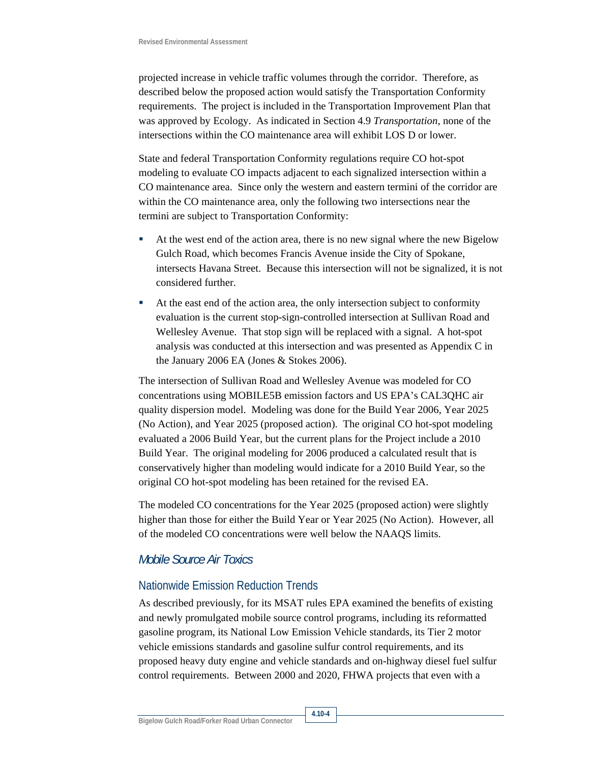projected increase in vehicle traffic volumes through the corridor. Therefore, as described below the proposed action would satisfy the Transportation Conformity requirements. The project is included in the Transportation Improvement Plan that was approved by Ecology. As indicated in Section 4.9 *Transportation*, none of the intersections within the CO maintenance area will exhibit LOS D or lower.

State and federal Transportation Conformity regulations require CO hot-spot modeling to evaluate CO impacts adjacent to each signalized intersection within a CO maintenance area. Since only the western and eastern termini of the corridor are within the CO maintenance area, only the following two intersections near the termini are subject to Transportation Conformity:

- At the west end of the action area, there is no new signal where the new Bigelow Gulch Road, which becomes Francis Avenue inside the City of Spokane, intersects Havana Street. Because this intersection will not be signalized, it is not considered further.
- At the east end of the action area, the only intersection subject to conformity evaluation is the current stop-sign-controlled intersection at Sullivan Road and Wellesley Avenue. That stop sign will be replaced with a signal. A hot-spot analysis was conducted at this intersection and was presented as Appendix C in the January 2006 EA (Jones & Stokes 2006).

The intersection of Sullivan Road and Wellesley Avenue was modeled for CO concentrations using MOBILE5B emission factors and US EPA's CAL3QHC air quality dispersion model. Modeling was done for the Build Year 2006, Year 2025 (No Action), and Year 2025 (proposed action). The original CO hot-spot modeling evaluated a 2006 Build Year, but the current plans for the Project include a 2010 Build Year. The original modeling for 2006 produced a calculated result that is conservatively higher than modeling would indicate for a 2010 Build Year, so the original CO hot-spot modeling has been retained for the revised EA.

The modeled CO concentrations for the Year 2025 (proposed action) were slightly higher than those for either the Build Year or Year 2025 (No Action). However, all of the modeled CO concentrations were well below the NAAQS limits.

#### *Mobile Source Air Toxics*

#### Nationwide Emission Reduction Trends

As described previously, for its MSAT rules EPA examined the benefits of existing and newly promulgated mobile source control programs, including its reformatted gasoline program, its National Low Emission Vehicle standards, its Tier 2 motor vehicle emissions standards and gasoline sulfur control requirements, and its proposed heavy duty engine and vehicle standards and on-highway diesel fuel sulfur control requirements. Between 2000 and 2020, FHWA projects that even with a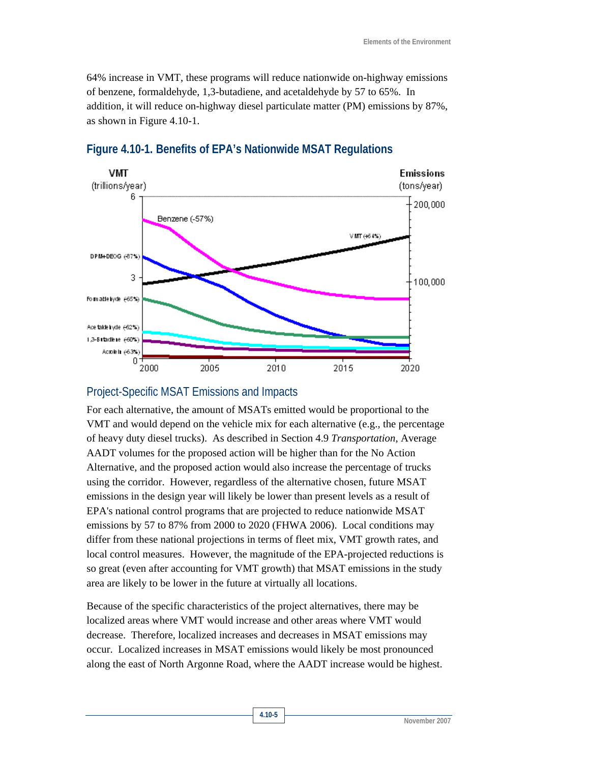64% increase in VMT, these programs will reduce nationwide on-highway emissions of benzene, formaldehyde, 1,3-butadiene, and acetaldehyde by 57 to 65%. In addition, it will reduce on-highway diesel particulate matter (PM) emissions by 87%, as shown in Figure 4.10-1.



#### **Figure 4.10-1. Benefits of EPA's Nationwide MSAT Regulations**

#### Project-Specific MSAT Emissions and Impacts

For each alternative, the amount of MSATs emitted would be proportional to the VMT and would depend on the vehicle mix for each alternative (e.g., the percentage of heavy duty diesel trucks). As described in Section 4.9 *Transportation*, Average AADT volumes for the proposed action will be higher than for the No Action Alternative, and the proposed action would also increase the percentage of trucks using the corridor. However, regardless of the alternative chosen, future MSAT emissions in the design year will likely be lower than present levels as a result of EPA's national control programs that are projected to reduce nationwide MSAT emissions by 57 to 87% from 2000 to 2020 (FHWA 2006). Local conditions may differ from these national projections in terms of fleet mix, VMT growth rates, and local control measures. However, the magnitude of the EPA-projected reductions is so great (even after accounting for VMT growth) that MSAT emissions in the study area are likely to be lower in the future at virtually all locations.

Because of the specific characteristics of the project alternatives, there may be localized areas where VMT would increase and other areas where VMT would decrease. Therefore, localized increases and decreases in MSAT emissions may occur. Localized increases in MSAT emissions would likely be most pronounced along the east of North Argonne Road, where the AADT increase would be highest.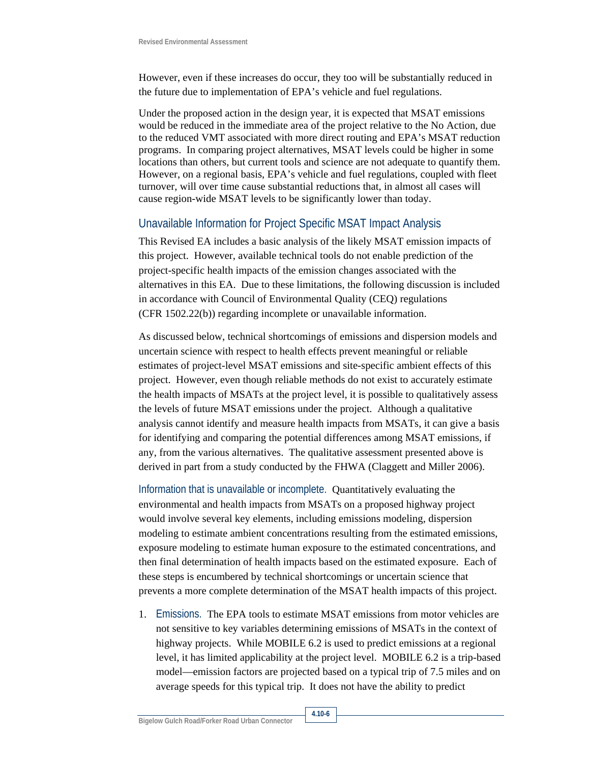However, even if these increases do occur, they too will be substantially reduced in the future due to implementation of EPA's vehicle and fuel regulations.

Under the proposed action in the design year, it is expected that MSAT emissions would be reduced in the immediate area of the project relative to the No Action, due to the reduced VMT associated with more direct routing and EPA's MSAT reduction programs. In comparing project alternatives, MSAT levels could be higher in some locations than others, but current tools and science are not adequate to quantify them. However, on a regional basis, EPA's vehicle and fuel regulations, coupled with fleet turnover, will over time cause substantial reductions that, in almost all cases will cause region-wide MSAT levels to be significantly lower than today.

#### Unavailable Information for Project Specific MSAT Impact Analysis

This Revised EA includes a basic analysis of the likely MSAT emission impacts of this project. However, available technical tools do not enable prediction of the project-specific health impacts of the emission changes associated with the alternatives in this EA. Due to these limitations, the following discussion is included in accordance with Council of Environmental Quality (CEQ) regulations (CFR 1502.22(b)) regarding incomplete or unavailable information.

As discussed below, technical shortcomings of emissions and dispersion models and uncertain science with respect to health effects prevent meaningful or reliable estimates of project-level MSAT emissions and site-specific ambient effects of this project. However, even though reliable methods do not exist to accurately estimate the health impacts of MSATs at the project level, it is possible to qualitatively assess the levels of future MSAT emissions under the project. Although a qualitative analysis cannot identify and measure health impacts from MSATs, it can give a basis for identifying and comparing the potential differences among MSAT emissions, if any, from the various alternatives. The qualitative assessment presented above is derived in part from a study conducted by the FHWA (Claggett and Miller 2006).

Information that is unavailable or incomplete. Quantitatively evaluating the environmental and health impacts from MSATs on a proposed highway project would involve several key elements, including emissions modeling, dispersion modeling to estimate ambient concentrations resulting from the estimated emissions, exposure modeling to estimate human exposure to the estimated concentrations, and then final determination of health impacts based on the estimated exposure. Each of these steps is encumbered by technical shortcomings or uncertain science that prevents a more complete determination of the MSAT health impacts of this project.

1. Emissions. The EPA tools to estimate MSAT emissions from motor vehicles are not sensitive to key variables determining emissions of MSATs in the context of highway projects. While MOBILE 6.2 is used to predict emissions at a regional level, it has limited applicability at the project level. MOBILE 6.2 is a trip-based model—emission factors are projected based on a typical trip of 7.5 miles and on average speeds for this typical trip. It does not have the ability to predict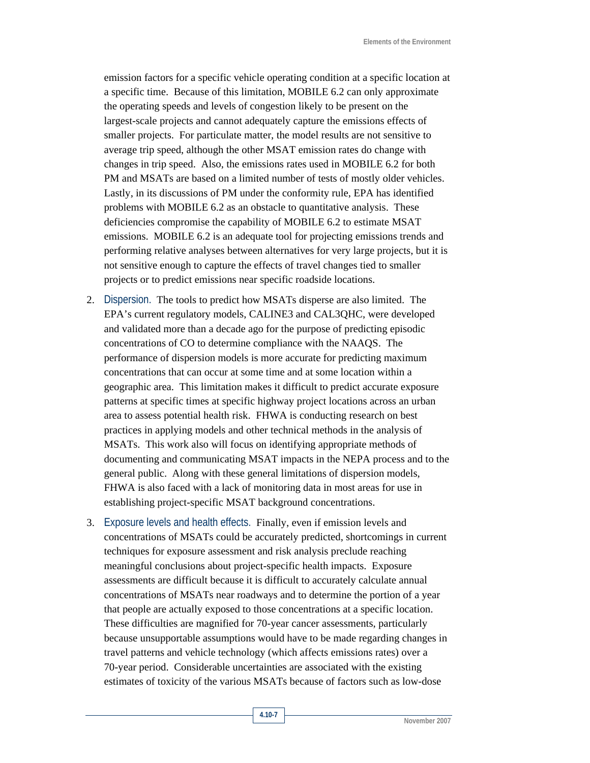emission factors for a specific vehicle operating condition at a specific location at a specific time. Because of this limitation, MOBILE 6.2 can only approximate the operating speeds and levels of congestion likely to be present on the largest-scale projects and cannot adequately capture the emissions effects of smaller projects. For particulate matter, the model results are not sensitive to average trip speed, although the other MSAT emission rates do change with changes in trip speed. Also, the emissions rates used in MOBILE 6.2 for both PM and MSATs are based on a limited number of tests of mostly older vehicles. Lastly, in its discussions of PM under the conformity rule, EPA has identified problems with MOBILE 6.2 as an obstacle to quantitative analysis. These deficiencies compromise the capability of MOBILE 6.2 to estimate MSAT emissions. MOBILE 6.2 is an adequate tool for projecting emissions trends and performing relative analyses between alternatives for very large projects, but it is not sensitive enough to capture the effects of travel changes tied to smaller projects or to predict emissions near specific roadside locations.

- 2. Dispersion. The tools to predict how MSATs disperse are also limited. The EPA's current regulatory models, CALINE3 and CAL3QHC, were developed and validated more than a decade ago for the purpose of predicting episodic concentrations of CO to determine compliance with the NAAQS. The performance of dispersion models is more accurate for predicting maximum concentrations that can occur at some time and at some location within a geographic area. This limitation makes it difficult to predict accurate exposure patterns at specific times at specific highway project locations across an urban area to assess potential health risk. FHWA is conducting research on best practices in applying models and other technical methods in the analysis of MSATs. This work also will focus on identifying appropriate methods of documenting and communicating MSAT impacts in the NEPA process and to the general public. Along with these general limitations of dispersion models, FHWA is also faced with a lack of monitoring data in most areas for use in establishing project-specific MSAT background concentrations.
- 3. Exposure levels and health effects. Finally, even if emission levels and concentrations of MSATs could be accurately predicted, shortcomings in current techniques for exposure assessment and risk analysis preclude reaching meaningful conclusions about project-specific health impacts. Exposure assessments are difficult because it is difficult to accurately calculate annual concentrations of MSATs near roadways and to determine the portion of a year that people are actually exposed to those concentrations at a specific location. These difficulties are magnified for 70-year cancer assessments, particularly because unsupportable assumptions would have to be made regarding changes in travel patterns and vehicle technology (which affects emissions rates) over a 70-year period. Considerable uncertainties are associated with the existing estimates of toxicity of the various MSATs because of factors such as low-dose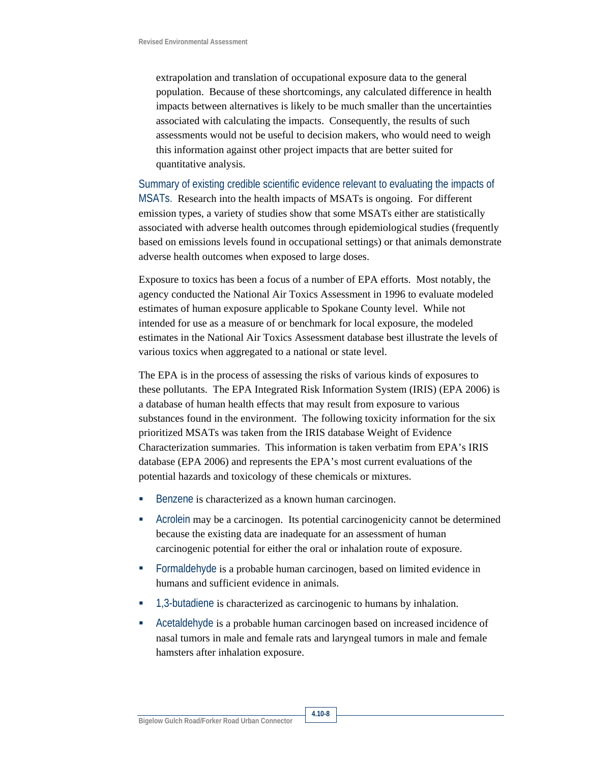extrapolation and translation of occupational exposure data to the general population. Because of these shortcomings, any calculated difference in health impacts between alternatives is likely to be much smaller than the uncertainties associated with calculating the impacts. Consequently, the results of such assessments would not be useful to decision makers, who would need to weigh this information against other project impacts that are better suited for quantitative analysis.

Summary of existing credible scientific evidence relevant to evaluating the impacts of MSATs. Research into the health impacts of MSATs is ongoing. For different emission types, a variety of studies show that some MSATs either are statistically associated with adverse health outcomes through epidemiological studies (frequently based on emissions levels found in occupational settings) or that animals demonstrate adverse health outcomes when exposed to large doses.

Exposure to toxics has been a focus of a number of EPA efforts. Most notably, the agency conducted the National Air Toxics Assessment in 1996 to evaluate modeled estimates of human exposure applicable to Spokane County level. While not intended for use as a measure of or benchmark for local exposure, the modeled estimates in the National Air Toxics Assessment database best illustrate the levels of various toxics when aggregated to a national or state level.

The EPA is in the process of assessing the risks of various kinds of exposures to these pollutants. The EPA Integrated Risk Information System (IRIS) (EPA 2006) is a database of human health effects that may result from exposure to various substances found in the environment. The following toxicity information for the six prioritized MSATs was taken from the IRIS database Weight of Evidence Characterization summaries. This information is taken verbatim from EPA's IRIS database (EPA 2006) and represents the EPA's most current evaluations of the potential hazards and toxicology of these chemicals or mixtures.

- Benzene is characterized as a known human carcinogen.
- Acrolein may be a carcinogen. Its potential carcinogenicity cannot be determined because the existing data are inadequate for an assessment of human carcinogenic potential for either the oral or inhalation route of exposure.
- Formaldehyde is a probable human carcinogen, based on limited evidence in humans and sufficient evidence in animals.
- 1,3-butadiene is characterized as carcinogenic to humans by inhalation.
- Acetaldehyde is a probable human carcinogen based on increased incidence of nasal tumors in male and female rats and laryngeal tumors in male and female hamsters after inhalation exposure.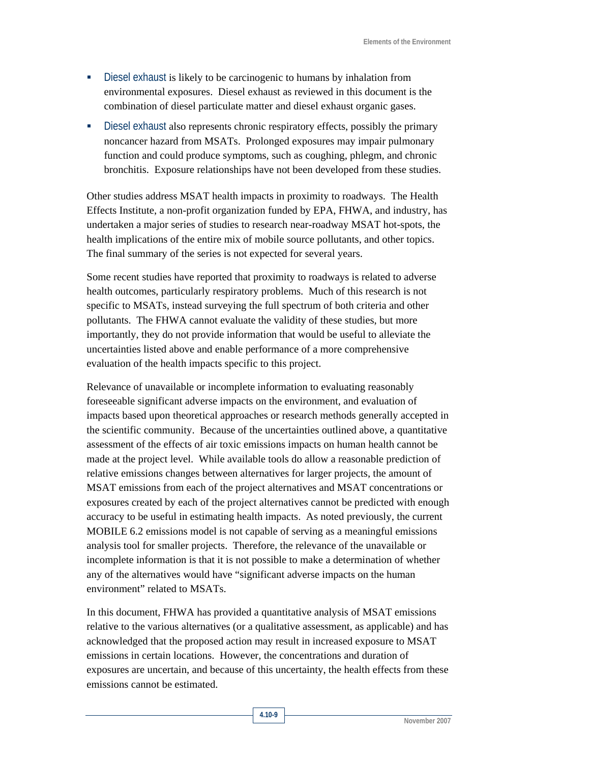- Diesel exhaust is likely to be carcinogenic to humans by inhalation from environmental exposures. Diesel exhaust as reviewed in this document is the combination of diesel particulate matter and diesel exhaust organic gases.
- Diesel exhaust also represents chronic respiratory effects, possibly the primary noncancer hazard from MSATs. Prolonged exposures may impair pulmonary function and could produce symptoms, such as coughing, phlegm, and chronic bronchitis. Exposure relationships have not been developed from these studies.

Other studies address MSAT health impacts in proximity to roadways. The Health Effects Institute, a non-profit organization funded by EPA, FHWA, and industry, has undertaken a major series of studies to research near-roadway MSAT hot-spots, the health implications of the entire mix of mobile source pollutants, and other topics. The final summary of the series is not expected for several years.

Some recent studies have reported that proximity to roadways is related to adverse health outcomes, particularly respiratory problems. Much of this research is not specific to MSATs, instead surveying the full spectrum of both criteria and other pollutants. The FHWA cannot evaluate the validity of these studies, but more importantly, they do not provide information that would be useful to alleviate the uncertainties listed above and enable performance of a more comprehensive evaluation of the health impacts specific to this project.

Relevance of unavailable or incomplete information to evaluating reasonably foreseeable significant adverse impacts on the environment, and evaluation of impacts based upon theoretical approaches or research methods generally accepted in the scientific community. Because of the uncertainties outlined above, a quantitative assessment of the effects of air toxic emissions impacts on human health cannot be made at the project level. While available tools do allow a reasonable prediction of relative emissions changes between alternatives for larger projects, the amount of MSAT emissions from each of the project alternatives and MSAT concentrations or exposures created by each of the project alternatives cannot be predicted with enough accuracy to be useful in estimating health impacts. As noted previously, the current MOBILE 6.2 emissions model is not capable of serving as a meaningful emissions analysis tool for smaller projects. Therefore, the relevance of the unavailable or incomplete information is that it is not possible to make a determination of whether any of the alternatives would have "significant adverse impacts on the human environment" related to MSATs.

In this document, FHWA has provided a quantitative analysis of MSAT emissions relative to the various alternatives (or a qualitative assessment, as applicable) and has acknowledged that the proposed action may result in increased exposure to MSAT emissions in certain locations. However, the concentrations and duration of exposures are uncertain, and because of this uncertainty, the health effects from these emissions cannot be estimated.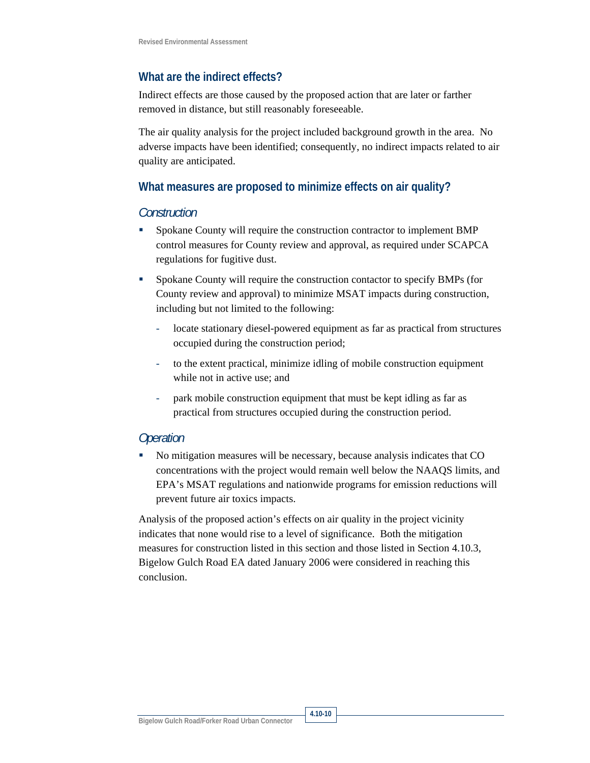#### **What are the indirect effects?**

Indirect effects are those caused by the proposed action that are later or farther removed in distance, but still reasonably foreseeable.

The air quality analysis for the project included background growth in the area. No adverse impacts have been identified; consequently, no indirect impacts related to air quality are anticipated.

#### **What measures are proposed to minimize effects on air quality?**

#### *Construction*

- Spokane County will require the construction contractor to implement BMP control measures for County review and approval, as required under SCAPCA regulations for fugitive dust.
- **Spokane County will require the construction contactor to specify BMPs (for** County review and approval) to minimize MSAT impacts during construction, including but not limited to the following:
	- locate stationary diesel-powered equipment as far as practical from structures occupied during the construction period;
	- to the extent practical, minimize idling of mobile construction equipment while not in active use; and
	- park mobile construction equipment that must be kept idling as far as practical from structures occupied during the construction period.

#### *Operation*

 No mitigation measures will be necessary, because analysis indicates that CO concentrations with the project would remain well below the NAAQS limits, and EPA's MSAT regulations and nationwide programs for emission reductions will prevent future air toxics impacts.

Analysis of the proposed action's effects on air quality in the project vicinity indicates that none would rise to a level of significance. Both the mitigation measures for construction listed in this section and those listed in Section 4.10.3, Bigelow Gulch Road EA dated January 2006 were considered in reaching this conclusion.